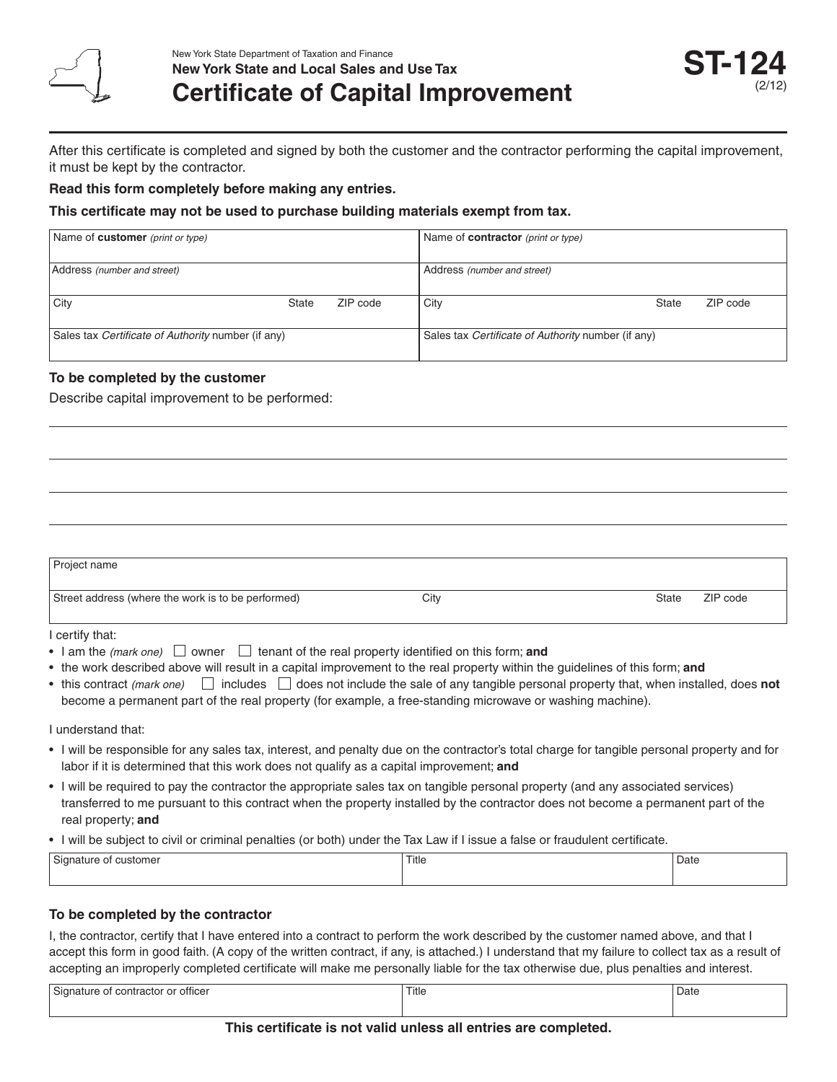

After this certificate is completed and signed by both the customer and the contractor performing the capital improvement, it must be kept by the contractor.

#### **Read this form completely before making any entries.**

#### **This certificate may not be used to purchase building materials exempt from tax.**

| Name of <b>customer</b> (print or type)            |       |                                                    | Name of <b>contractor</b> (print or type) |              |          |
|----------------------------------------------------|-------|----------------------------------------------------|-------------------------------------------|--------------|----------|
| Address (number and street)                        |       |                                                    | Address (number and street)               |              |          |
| City                                               | State | ZIP code                                           | City                                      | <b>State</b> | ZIP code |
| Sales tax Certificate of Authority number (if any) |       | Sales tax Certificate of Authority number (if any) |                                           |              |          |

### **To be completed by the customer**

Describe capital improvement to be performed:

| Project name                                       |      |                   |
|----------------------------------------------------|------|-------------------|
| Street address (where the work is to be performed) | City | State<br>ZIP code |

I certify that:

- I am the *(mark one)*  $\Box$  owner  $\Box$  tenant of the real property identified on this form; **and**
- • the work described above will result in a capital improvement to the real property within the guidelines of this form; **and**
- this contract *(mark one)*  $\Box$  includes  $\Box$  does not include the sale of any tangible personal property that, when installed, does **not** become a permanent part of the real property (for example, a free-standing microwave or washing machine).

I understand that:

- I will be responsible for any sales tax, interest, and penalty due on the contractor's total charge for tangible personal property and for labor if it is determined that this work does not qualify as a capital improvement; **and**
- • I will be required to pay the contractor the appropriate sales tax on tangible personal property (and any associated services) transferred to me pursuant to this contract when the property installed by the contractor does not become a permanent part of the real property; **and**
- • I will be subject to civil or criminal penalties (or both) under the Tax Law if I issue a false or fraudulent certificate.

| $\sim$<br>of customer<br>Signature<br>$\cdot$ | Title | Date |
|-----------------------------------------------|-------|------|
|                                               |       |      |

## **To be completed by the contractor**

I, the contractor, certify that I have entered into a contract to perform the work described by the customer named above, and that I accept this form in good faith. (A copy of the written contract, if any, is attached.) I understand that my failure to collect tax as a result of accepting an improperly completed certificate will make me personally liable for the tax otherwise due, plus penalties and interest.

| Signature of contractor or officer | Title | Date |
|------------------------------------|-------|------|
|                                    |       |      |

#### **This certificate is not valid unless all entries are completed.**